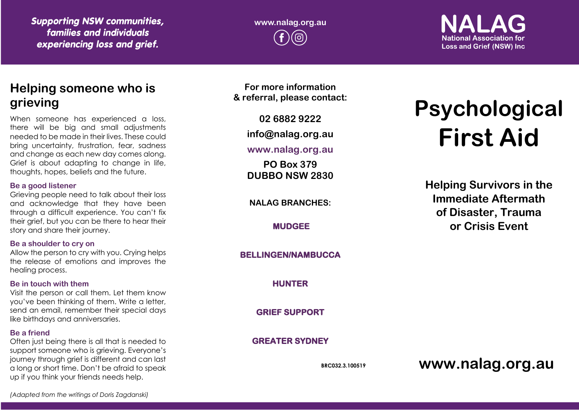*Supporting NSW communities, families and individuals experiencing loss and grief.*

**www.nalag.org.au**

## **National Association for Loss and Grief (NSW) Inc.**

## **Helping someone who is grieving**

When someone has experienced a loss, there will be big and small adjustments needed to be made in their lives. These could bring uncertainty, frustration, fear, sadness and change as each new day comes along. Grief is about adapting to change in life, thoughts, hopes, beliefs and the future.

### **Be a good listener**

Grieving people need to talk about their loss and acknowledge that they have been through a difficult experience. You can't fix their grief, but you can be there to hear their story and share their journey.

### **Be a shoulder to cry on**

Allow the person to cry with you. Crying helps the release of emotions and improves the healing process.

### **Be in touch with them**

Visit the person or call them. Let them know you've been thinking of them. Write a letter, send an email, remember their special days like birthdays and anniversaries.

### **Be a friend**

Often just being there is all that is needed to support someone who is grieving. Everyone's journey through grief is different and can last a long or short time. Don't be afraid to speak up if you think your friends needs help.

**For more information & referral, please contact:**

**02 6882 9222**

**info@nalag.org.au**

### **www.nalag.org.au**

**PO Box 379 DUBBO NSW 2830**

**NALAG BRANCHES:**

**MUDGEE** 

### **BELLINGEN/NAMBUCCA**

**HUNTER** 

**GRIEF SUPPORT** 

### **GREATER SYDNEY**

**BRC032.3.100519**

# **Psychological First Aid**

**Helping Survivors in the Immediate Aftermath of Disaster, Trauma or Crisis Event**

**www.nalag.org.au**

*(Adapted from the writings of Doris Zagdanski)*